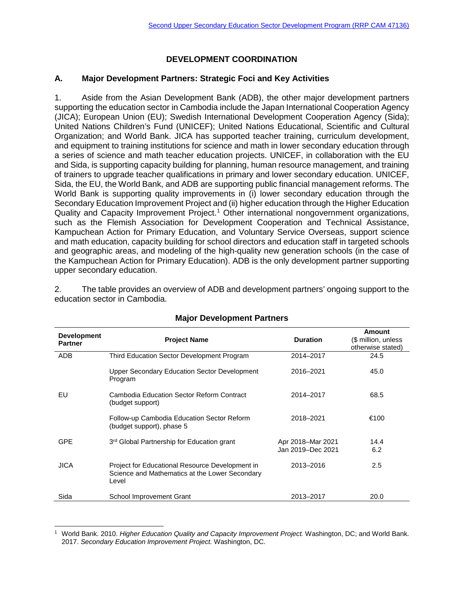# **DEVELOPMENT COORDINATION**

### **A. Major Development Partners: Strategic Foci and Key Activities**

1. Aside from the Asian Development Bank (ADB), the other major development partners supporting the education sector in Cambodia include the Japan International Cooperation Agency (JICA); European Union (EU); Swedish International Development Cooperation Agency (Sida); United Nations Children's Fund (UNICEF); United Nations Educational, Scientific and Cultural Organization; and World Bank. JICA has supported teacher training, curriculum development, and equipment to training institutions for science and math in lower secondary education through a series of science and math teacher education projects. UNICEF, in collaboration with the EU and Sida, is supporting capacity building for planning, human resource management, and training of trainers to upgrade teacher qualifications in primary and lower secondary education. UNICEF, Sida, the EU, the World Bank, and ADB are supporting public financial management reforms. The World Bank is supporting quality improvements in (i) lower secondary education through the Secondary Education Improvement Project and (ii) higher education through the Higher Education Quality and Capacity Improvement Project.<sup>[1](#page-0-0)</sup> Other international nongovernment organizations, such as the Flemish Association for Development Cooperation and Technical Assistance, Kampuchean Action for Primary Education, and Voluntary Service Overseas, support science and math education, capacity building for school directors and education staff in targeted schools and geographic areas, and modeling of the high-quality new generation schools (in the case of the Kampuchean Action for Primary Education). ADB is the only development partner supporting upper secondary education.

2. The table provides an overview of ADB and development partners' ongoing support to the education sector in Cambodia.

| <b>Development</b><br><b>Partner</b> | <b>Project Name</b>                                                                                        | <b>Duration</b>   | Amount<br>(\$ million, unless<br>otherwise stated) |
|--------------------------------------|------------------------------------------------------------------------------------------------------------|-------------------|----------------------------------------------------|
| <b>ADB</b>                           | Third Education Sector Development Program                                                                 | 2014-2017         | 24.5                                               |
|                                      | <b>Upper Secondary Education Sector Development</b><br>Program                                             | 2016-2021         | 45.0                                               |
| EU                                   | Cambodia Education Sector Reform Contract<br>(budget support)                                              | 2014-2017         | 68.5                                               |
|                                      | Follow-up Cambodia Education Sector Reform<br>(budget support), phase 5                                    | 2018-2021         | €100                                               |
| <b>GPE</b>                           | 3rd Global Partnership for Education grant                                                                 | Apr 2018-Mar 2021 | 14.4                                               |
|                                      |                                                                                                            | Jan 2019-Dec 2021 | 6.2                                                |
| <b>JICA</b>                          | Project for Educational Resource Development in<br>Science and Mathematics at the Lower Secondary<br>Level | 2013-2016         | 2.5                                                |
| Sida                                 | School Improvement Grant                                                                                   | 2013-2017         | 20.0                                               |

## **Major Development Partners**

<span id="page-0-0"></span> <sup>1</sup> World Bank. 2010. *Higher Education Quality and Capacity Improvement Project.* Washington, DC; and World Bank. 2017. *Secondary Education Improvement Project.* Washington, DC.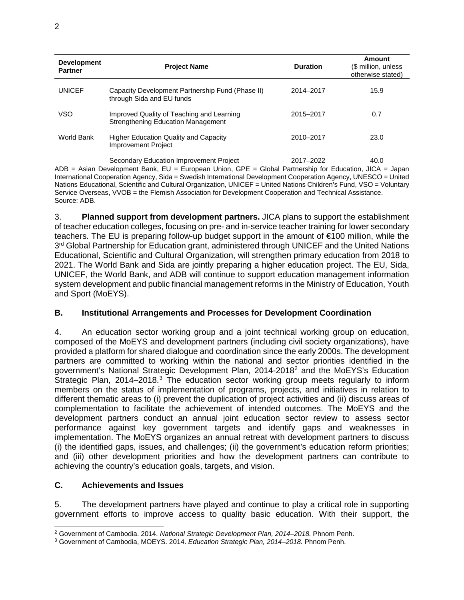| <b>Development</b><br><b>Partner</b> | <b>Project Name</b>                                                                                 | <b>Duration</b>                                    | Amount<br>(\$ million, unless<br>otherwise stated) |
|--------------------------------------|-----------------------------------------------------------------------------------------------------|----------------------------------------------------|----------------------------------------------------|
| <b>UNICEF</b>                        | Capacity Development Partnership Fund (Phase II)<br>through Sida and EU funds                       | 2014-2017                                          | 15.9                                               |
| <b>VSO</b>                           | Improved Quality of Teaching and Learning<br><b>Strengthening Education Management</b>              | 2015-2017                                          | 0.7                                                |
| World Bank                           | <b>Higher Education Quality and Capacity</b><br><b>Improvement Project</b>                          | 2010-2017                                          | 23.0                                               |
| $\sqrt{2}$                           | Secondary Education Improvement Project<br>Astern Decoclement of Dealer Fill - Francesco Hatern ODF | 2017-2022<br>Obstrat Daniel and the face Entreated | 40.0<br>$\mathbf{11} \cap \mathbf{A}$              |

ADB = Asian Development Bank, EU = European Union, GPE = Global Partnership for Education, JICA = Japan International Cooperation Agency, Sida = Swedish International Development Cooperation Agency, UNESCO = United Nations Educational, Scientific and Cultural Organization, UNICEF = United Nations Children's Fund, VSO = Voluntary Service Overseas, VVOB = the Flemish Association for Development Cooperation and Technical Assistance. Source: ADB.

3. **Planned support from development partners.** JICA plans to support the establishment of teacher education colleges, focusing on pre- and in-service teacher training for lower secondary teachers. The EU is preparing follow-up budget support in the amount of €100 million, while the 3<sup>rd</sup> Global Partnership for Education grant, administered through UNICEF and the United Nations Educational, Scientific and Cultural Organization, will strengthen primary education from 2018 to 2021. The World Bank and Sida are jointly preparing a higher education project. The EU, Sida, UNICEF, the World Bank, and ADB will continue to support education management information system development and public financial management reforms in the Ministry of Education, Youth and Sport (MoEYS).

## **B. Institutional Arrangements and Processes for Development Coordination**

4. An education sector working group and a joint technical working group on education, composed of the MoEYS and development partners (including civil society organizations), have provided a platform for shared dialogue and coordination since the early 2000s. The development partners are committed to working within the national and sector priorities identified in the government's National Strategic Development Plan, 2014-2018[2](#page-1-0) and the MoEYS's Education Strategic Plan, 2014–2018.<sup>[3](#page-1-1)</sup> The education sector working group meets regularly to inform members on the status of implementation of programs, projects, and initiatives in relation to different thematic areas to (i) prevent the duplication of project activities and (ii) discuss areas of complementation to facilitate the achievement of intended outcomes. The MoEYS and the development partners conduct an annual joint education sector review to assess sector performance against key government targets and identify gaps and weaknesses in implementation. The MoEYS organizes an annual retreat with development partners to discuss (i) the identified gaps, issues, and challenges; (ii) the government's education reform priorities; and (iii) other development priorities and how the development partners can contribute to achieving the country's education goals, targets, and vision.

## **C. Achievements and Issues**

5. The development partners have played and continue to play a critical role in supporting government efforts to improve access to quality basic education. With their support, the

<span id="page-1-0"></span> <sup>2</sup> Government of Cambodia. 2014. *National Strategic Development Plan, 2014–2018.* Phnom Penh.

<span id="page-1-1"></span><sup>3</sup> Government of Cambodia, MOEYS. 2014. *Education Strategic Plan, 2014–2018.* Phnom Penh.